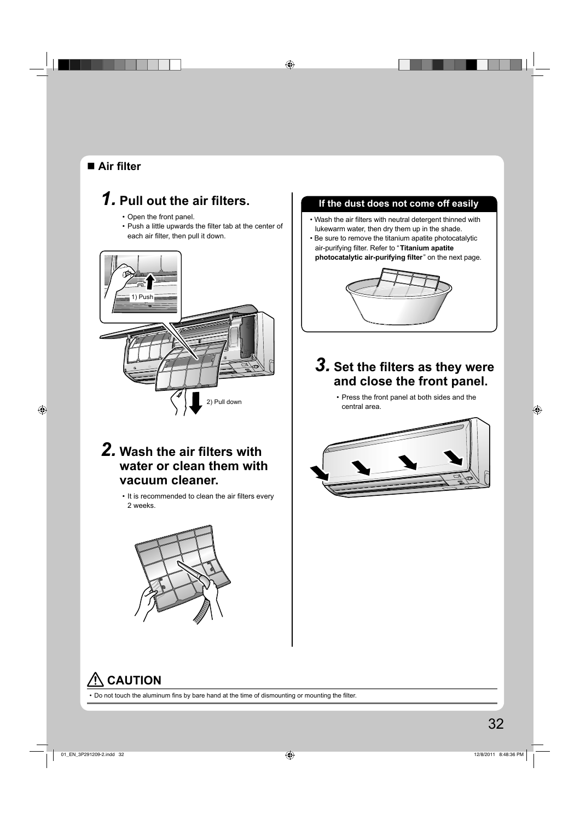#### **Air fi lter**

# **1. Pull out the air filters.**

- Open the front panel.
- Push a little upwards the filter tab at the center of each air filter, then pull it down.



# **2. Wash the air filters with water or clean them with vacuum cleaner.**

• It is recommended to clean the air filters every 2 weeks.



#### **If the dust does not come off easily**

- Wash the air filters with neutral detergent thinned with lukewarm water, then dry them up in the shade.
- Be sure to remove the titanium apatite photocatalytic air-purifying filter. Refer to "Titanium apatite **photocatalytic air-purifying filter**" on the next page.



# *3.* **Set the fi lters as they were and close the front panel.**

• Press the front panel at both sides and the central area.



# **CAUTION**

• Do not touch the aluminum fins by bare hand at the time of dismounting or mounting the filter.